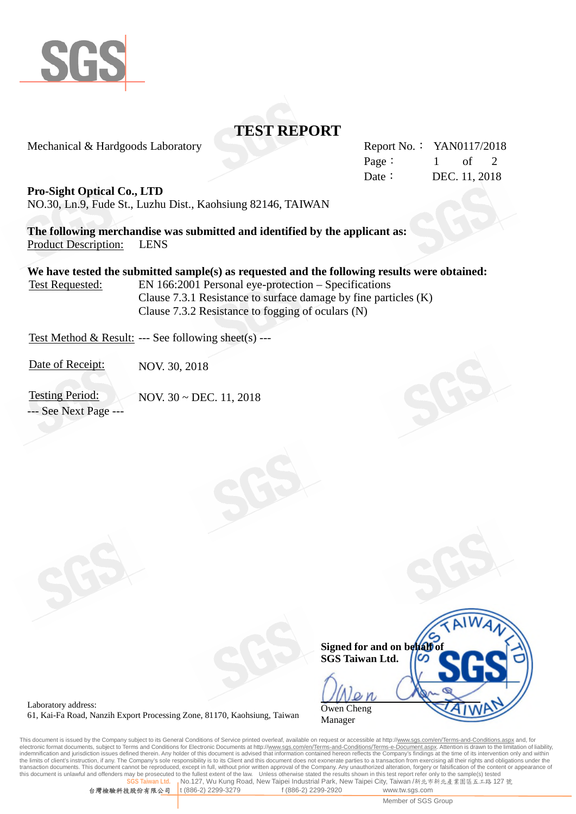

## **TEST REPORT**

Mechanical & Hardgoods Laboratory Report No.: YAN0117/2018

Page:  $1$  of 2 Date: DEC. 11, 2018

**Pro-Sight Optical Co., LTD**

NO.30, Ln.9, Fude St., Luzhu Dist., Kaohsiung 82146, TAIWAN

**The following merchandise was submitted and identified by the applicant as:** Product Description: LENS

**We have tested the submitted sample(s) as requested and the following results were obtained:** Test Requested: EN 166:2001 Personal eye-protection – Specifications

Clause 7.3.1 Resistance to surface damage by fine particles (K) Clause 7.3.2 Resistance to fogging of oculars (N)

Test Method & Result: --- See following sheet(s) ---

Date of Receipt: NOV. 30, 2018

Testing Period: NOV. 30 ~ DEC. 11, 2018 --- See Next Page ---



Laboratory address: 61, Kai-Fa Road, Nanzih Export Processing Zone, 81170, Kaohsiung, Taiwan

This document is issued by the Company subject to its General Conditions of Service printed overleaf, available on request or accessible at http://<u>www.sgs.com/en/Terms-and-Conditions.aspx</u> and, for<br>electronic format docum indemnification and jurisdiction issues defined therein. Any holder of this document is advised that information contained hereon reflects the Company's findings at the time of its intervention only and within<br>the limits o transaction documents. This document cannot be reproduced, except in full, without prior written approval of the Company. Any unauthorized alteration, forgery or falsification of the content or appearance of this document Unless otherwise stated the results shown in this test report refer only to the sample(s) tested **No.127, Wu Kung Road, New Taipei Industrial Park, New Taipei City, Taiwan /新北市新北產業園區五工路 127 號** 

台灣檢驗科技股份有限公司 t (886-2) 2299-3279 f (886-2) 2299-2920 www.tw.sgs.com

Member of SGS Group